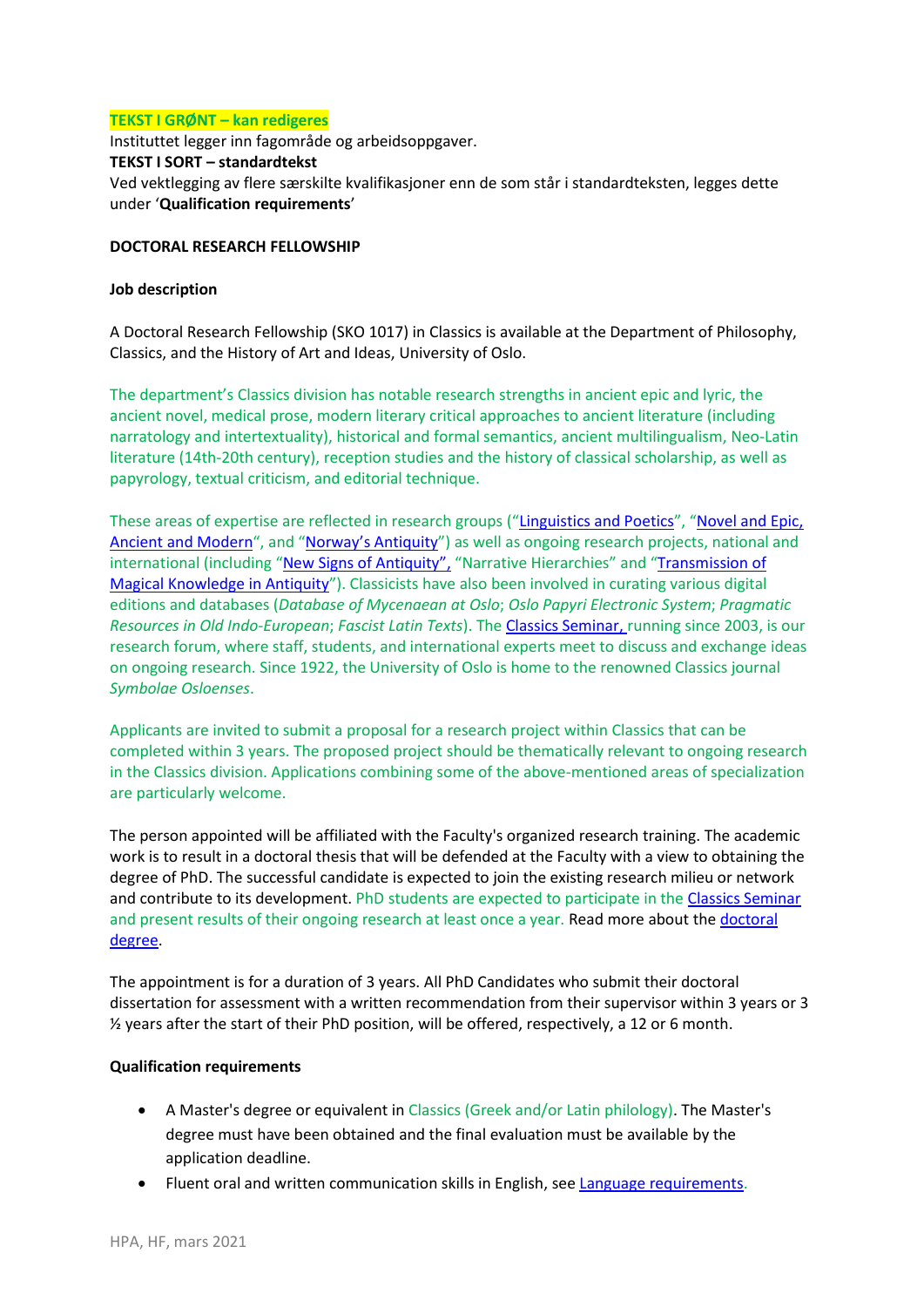### **TEKST I GRØNT – kan redigeres**

Instituttet legger inn fagområde og arbeidsoppgaver. **TEKST I SORT – standardtekst** Ved vektlegging av flere særskilte kvalifikasjoner enn de som står i standardteksten, legges dette under '**Qualification requirements**'

#### **DOCTORAL RESEARCH FELLOWSHIP**

### **Job description**

A Doctoral Research Fellowship (SKO 1017) in Classics is available at the Department of Philosophy, Classics, and the History of Art and Ideas, University of Oslo.

The department's Classics division has notable research strengths in ancient epic and lyric, the ancient novel, medical prose, modern literary critical approaches to ancient literature (including narratology and intertextuality), historical and formal semantics, ancient multilingualism, Neo-Latin literature (14th-20th century), reception studies and the history of classical scholarship, as well as papyrology, textual criticism, and editorial technique.

These areas of expertise are reflected in research groups ("[Linguistics and Poetics](https://www.hf.uio.no/ifikk/english/research/groups/linguistics-poetics/index.html)", "[Novel and Epic,](https://www.hf.uio.no/ifikk/english/research/groups/novel-and-epic-ancient-and-modern/)  [Ancient and Modern](https://www.hf.uio.no/ifikk/english/research/groups/novel-and-epic-ancient-and-modern/)", and ["Norway's Antiquity"](https://www.hf.uio.no/ifikk/english/research/groups/norways-antiquity/index.html)) as well as ongoing research projects, national and international (including "[New Signs of Antiquity](https://www.hf.uio.no/ifikk/english/research/projects/new-signs-of-antiquity-the-uses-of-latin-in-the-pu/index.html)", "Narrative Hierarchies" and "Transmission of [Magical Knowledge in Antiquity](https://papyrusmagicalhandbook.wordpress.com/)"). Classicists have also been involved in curating various digital editions and databases (*Database of Mycenaean at Oslo*; *Oslo Papyri Electronic System*; *Pragmatic Resources in Old Indo-European*; *Fascist Latin Texts*). The [Classics Seminar,](https://www.hf.uio.no/ifikk/english/research/news-and-events/events/guest-lectures-seminars/classics-seminar/) running since 2003, is our research forum, where staff, students, and international experts meet to discuss and exchange ideas on ongoing research. Since 1922, the University of Oslo is home to the renowned Classics journal *Symbolae Osloenses*.

Applicants are invited to submit a proposal for a research project within Classics that can be completed within 3 years. The proposed project should be thematically relevant to ongoing research in the Classics division. Applications combining some of the above-mentioned areas of specialization are particularly welcome.

The person appointed will be affiliated with the Faculty's organized research training. The academic work is to result in a doctoral thesis that will be defended at the Faculty with a view to obtaining the degree of PhD. The successful candidate is expected to join the existing research milieu or network and contribute to its development. PhD students are expected to participate in the [Classics Seminar](https://www.hf.uio.no/ifikk/english/research/news-and-events/events/guest-lectures-seminars/classics-seminar/) and present results of their ongoing research at least once a year. Read more about the doctoral [degree.](http://www.hf.uio.no/english/research/doctoral-degree-and-career/)

The appointment is for a duration of 3 years. All PhD Candidates who submit their doctoral dissertation for assessment with a written recommendation from their supervisor within 3 years or 3 ½ years after the start of their PhD position, will be offered, respectively, a 12 or 6 month.

#### **Qualification requirements**

- A Master's degree or equivalent in Classics (Greek and/or Latin philology). The Master's degree must have been obtained and the final evaluation must be available by the application deadline.
- Fluent oral and written communication skills in English, se[e Language requirements.](https://www.hf.uio.no/english/research/phd/application/language-requirements.html)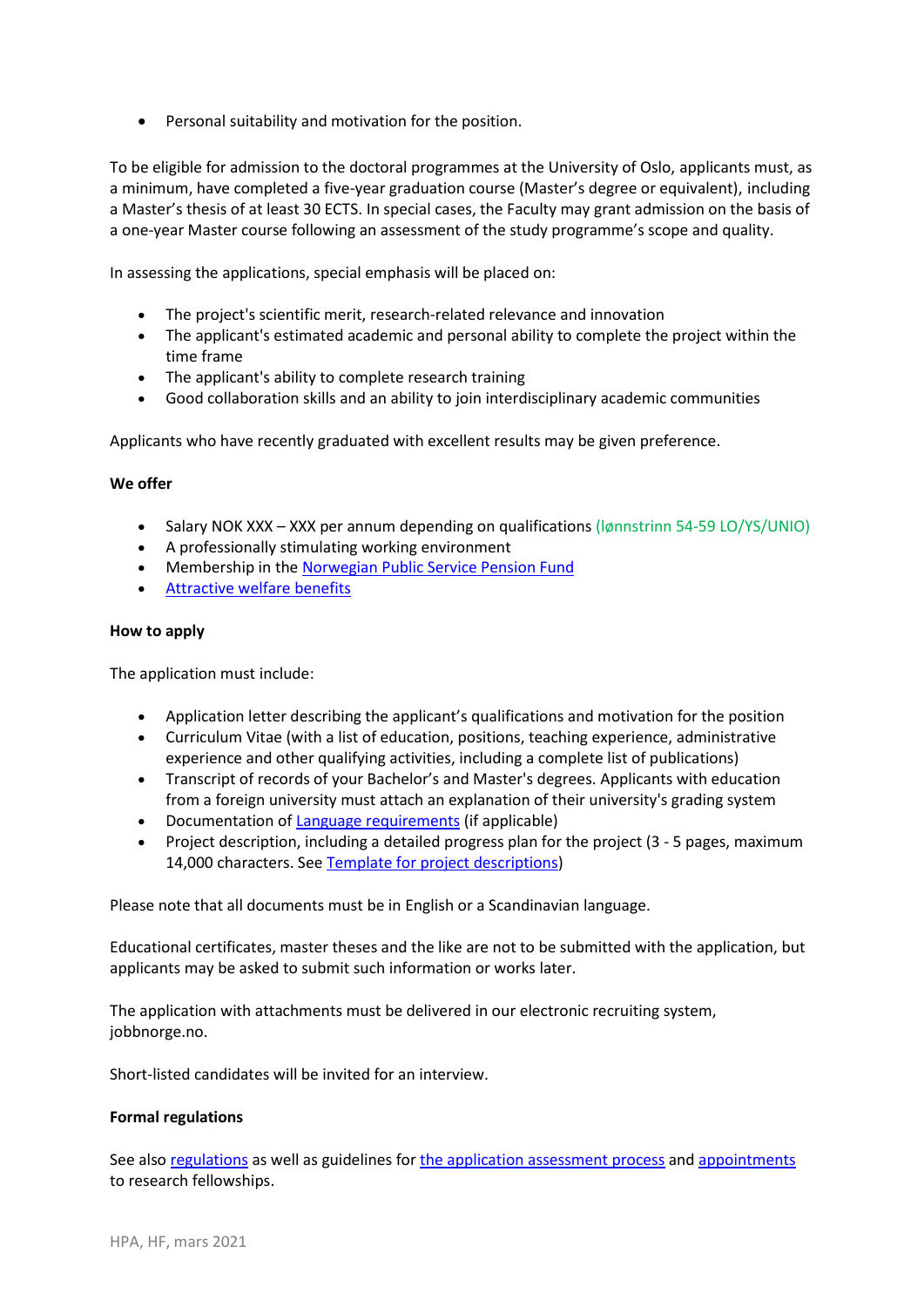• Personal suitability and motivation for the position.

To be eligible for admission to the doctoral programmes at the University of Oslo, applicants must, as a minimum, have completed a five-year graduation course (Master's degree or equivalent), including a Master's thesis of at least 30 ECTS. In special cases, the Faculty may grant admission on the basis of a one-year Master course following an assessment of the study programme's scope and quality.

In assessing the applications, special emphasis will be placed on:

- The project's scientific merit, research-related relevance and innovation
- The applicant's estimated academic and personal ability to complete the project within the time frame
- The applicant's ability to complete research training
- Good collaboration skills and an ability to join interdisciplinary academic communities

Applicants who have recently graduated with excellent results may be given preference.

# **We offer**

- Salary NOK XXX XXX per annum depending on qualifications (Ignnstrinn 54-59 LO/YS/UNIO)
- A professionally stimulating working environment
- Membership in th[e Norwegian Public Service Pension Fund](https://www.spk.no/en/)
- [Attractive welfare benefits](http://www.uio.no/english/for-employees/employment/welfare/)

# **How to apply**

The application must include:

- Application letter describing the applicant's qualifications and motivation for the position
- Curriculum Vitae (with a list of education, positions, teaching experience, administrative experience and other qualifying activities, including a complete list of publications)
- Transcript of records of your Bachelor's and Master's degrees. Applicants with education from a foreign university must attach an explanation of their university's grading system
- Documentation of [Language requirements](https://www.hf.uio.no/english/research/phd/application/language-requirements.html) (if applicable)
- Project description, including a detailed progress plan for the project (3 5 pages, maximum 14,000 characters. Se[e Template for project descriptions\)](http://www.hf.uio.no/english/research/phd/application/projectdescription.html)

Please note that all documents must be in English or a Scandinavian language.

Educational certificates, master theses and the like are not to be submitted with the application, but applicants may be asked to submit such information or works later.

The application with attachments must be delivered in our electronic recruiting system, jobbnorge.no.

Short-listed candidates will be invited for an interview.

# **Formal regulations**

See als[o regulations](https://www.uio.no/english/about/regulations/personnel/academic/regulations-employment-conditions-postdoc.html) as well as guidelines for [the application assessment process](http://www.uio.no/english/about/regulations/personnel/academic/hf-guidelines-application-assessment-phd.html) and [appointments](http://www.uio.no/english/about/regulations/personnel/academic/guidelines-appointment-postdoc-researcher.html) to research fellowships.